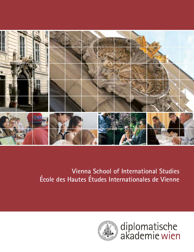

# **Vienna School of International Studies École des Hautes Études Internationales de Vienne**



diplomatische<br>akademie wien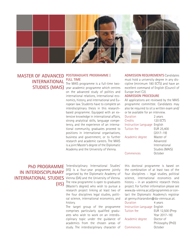

# **MASTER OF ADVANCED** POSTGRADUATE PROGRAMME | **INTERNATIONAL**

# **FULL TIME**

The MAIS programme is a full-time two-**STUDIES (MAIS)** year academic programme which centres on the advanced study of politics and international relations, international economics, history, and international and European law. Students have to complete an interdisciplinary thesis in this researchbased programme. Equipped with an extensive knowledge in international affairs, strong analytical skills, language competency, and the experience of an international community, graduates proceed to positions in international organisations, business and government, or to further research and academic careers. The MAIS is a joint Master's degree of the Diplomatic Academy and the University of Vienna.

**ADMISSION REQUIREMENTS** Candidates must hold a university degree in any discipline (minimum 180 ECTS) and have an excellent command of English (Council of Europe level C2).

## **ADMISSION PROCEDURE**

All applications are reviewed by the MAIS programme committee. Candidates may also be required to sit a written exam and/ or be available for an interview.

| Duration                     | 2 years        |
|------------------------------|----------------|
| Credits                      | 120 ECTS       |
| Instruction Language English |                |
| Tuition fee                  | EUR 25,400     |
|                              | $(2017 - 19)$  |
| Academic degree              | Master of      |
|                              | Advanced       |
|                              | International  |
|                              | Studies (MAIS) |
| Commences                    | October        |

# **IN INTERDISCIPLINARY (IIS)**

**PhD PROGRAMME** 'Interdisciplinary International Studies' (IIS) is a four-year programme jointly organised by the Diplomatic Academy of **INTERNATIONAL STUDIES** Vienna (DA) and the University of Vienna. The new programme is open to graduates (Master's degree) who wish to pursue a research project linking at least two of the four disciplines legal studies, political science, international economics, and history.

The target group of the programme comprises particularly qualified graduates who wish to work on an interdisciplinary topic under the guidance of academics from the chosen areas of study. The interdisciplinary character of this doctoral programme is based on the combination of at least two of the four disciplines – legal studies, political science, international economics and history – in an academic research thesis project. For further information please see www.da-vienna.ac.at/programmes or contact the Diplomatic Academy's registrar at genny.chiarandon@da-vienna.ac.at.

| Duration                     | 4 years          |
|------------------------------|------------------|
| Instruction Language English |                  |
| Tuition fee                  | EUR 12,500 (Prep |
|                              | Year 2017-18)    |
| Academic degree              | Doctor of        |
|                              | Philosophy (PhD) |
| Commences                    | October          |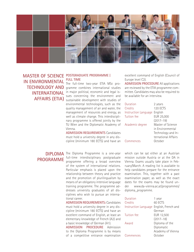

**MASTER OF SCIENCE POSTGRADUATE PROGRAMME | IN ENVIRONMENTAL** 

## **FULL TIME**

The full-time two-year ETIA MSc pro-**TECHNOLOGY AND** gramme combines international studies **INTERNATIONAL** in major political, economic and legal issues concerning the environment and **AFFAIRS (ETIA)** sustainable development with studies of environmental technologies, such as the quality management of air and water, the management of resources and energy, as well as climate change. This interdisciplinary programme is offered jointly by the TU Wien and the Diplomatic Academy of Vienna.

> **ADMISSION REQUIREMENTS** Candidates must hold a university degree in any discipline (minimum 180 ECTS) and have an

excellent command of English (Council of Europe level C2).

**ADMISSION PROCEDURE** All applications are reviewed by the ETIA programme committee. Candidates may also be required to be available for an interview.

| Duration             | 2 years             |
|----------------------|---------------------|
| Credits              | 120 ECTS            |
| Instruction Language | English             |
| Tuition fee          | EUR 25,000          |
|                      | $(2017 - 19)$       |
| Academic degree      | Master of Science   |
|                      | in Environmental    |
|                      | Technology and In-  |
|                      | ternational Affairs |
| Commences            | October             |
|                      |                     |

**DIPLOMA** The Diploma Programme is a one-year **PROGRAMME** <u>full-time</u> interdisciplinary postgraduate programme offering a broad overview of the system of international relations. Particular emphasis is placed upon the relationship between theory and practice and the promotion of plurilingualism by means of an obligatory intensive language training programme. The programme addresses university graduates of all disciplines who wish to pursue an international career.

> **ADMISSION REQUIREMENTS:** Candidates must hold a university degree in any discipline (minimum 180 ECTS) and have an excellent command of English, at least an elementary knowledge of French (A2) and a basic knowledge of German (A1). **ADMISSION PROCEDURE** Admission to the Diploma Programme is by means of a competitive entrance examination

which can be sat either at an Austrian mission outside Austria or at the DA in Vienna. Exams usually take place in February/March. A reading list is available to help candidates prepare for the entrance examination. This, together with a past examination paper, as well as the exact dates for the exams may be found under www.da-vienna.ac.at/programmes/ diploma\_programme.

| Duration                                 | 1 year            |
|------------------------------------------|-------------------|
| Credits                                  | 60 ECTS           |
| Instruction Language English, French and |                   |
|                                          | German            |
| Tuition fee                              | EUR 12,500        |
|                                          | $(2017 - 18)$     |
| Award                                    | Diploma of the    |
|                                          | Diplomatic        |
|                                          | Academy of Vienna |
| Commences                                | October           |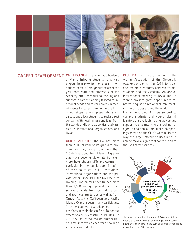

## **CAREER DEVELOPMENT CAREER CENTRE** The Diplomatic Academy

of Vienna helps its students to actively prepare themselves for their chosen international careers. Throughout the academic year, both staff and professors of the Academy offer individual counselling and support in career planning tailored to individual needs and career choices. Targeted events for career planning in the form of workshops, lectures, presentations and discussions allow students to make direct contact with leading personalities from the worlds of diplomacy, politics, business, culture, international organisations and NGOs.

**OUR GRADUATES** The DA has more than 2,000 alumni of its graduate programmes. They come from more than 115 different countries. Many DA graduates have become diplomats but even more have chosen different careers, in particular in the public administration of their countries, in EU institutions, international organisations and the private sector. Since 1990 the DA Executive Training Programmes have trained more than 1,500 young diplomats and civil service officials from Central, Eastern and Southeastern Europe, as well as from Central Asia, the Caribbean and Pacific Islands. Over the years, many participants in these courses have advanced to top positions in their chosen field. To honour exceptionally successful graduates, in 2010 the DA introduced its Alumni Hall of Fame, into which each year new high achievers are inducted.

**CLUB DA** The primary function of the Alumni Association of the Diplomatic Academy of Vienna (ClubDA) is to foster and maintain contacts between former students and the Academy. An annual international meeting of DA alumni in Vienna provides great opportunities for networking, as do regional alumni meetings in big cities around the world.

Furthermore, ClubDA offers support to current students and young alumni. Mentors are available to give advice and support to students who are looking for a job. In addition, alumni make job openings known on the Club's website. In this way the large network of DA alumni is able to make a significant contribution to the DA's career services.



This chart is based on the data of 940 alumni. Please note that some of those have changed their career paths over the years so the sum of all mentioned fields of work exceeds 100 per cent.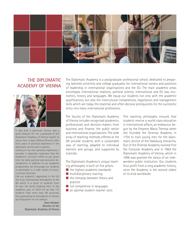

## **THE DIPLOMATIC ACADEMY OF VIENNA**



It was both a particular honour and a great pleasure for me, a graduate of the Diplomatic Academy of Vienna myself, to return here in April 2009 as Director after forty years of practical experience in the diplomatic service and in politics.

Looking at my own personal experience, I consider it especially important that the Academy's curricula reflect at any given time the latest political and economic developments. In addition to our academic programmes, we encourage our students to participate in a wide variety of extracurricular activities.

Like our students I appreciate to the full the truly international atmosphere at the DA which is a result of students from all over the world studying here. In the academic year of 2015–16 we had 173 students from more than 48 countries, thus generating an atmosphere of vibrant plurilingualism on our campus.

> **Hans Winkler Director of the Diplomatic Academy of Vienna**

The Diplomatic Academy is a postgraduate professional school, dedicated to preparing talented university and college graduates for international careers and positions of leadership in international organisations and the EU. The main academic areas encompass international relations, political science, international and EU law, economics, history and languages. We equip our students not only with the academic qualifications, but also the intercultural competences, negotiation and management skills which are today the essential and often decisive prerequisites for the successful entry into many international professions.

The faculty of the Diplomatic Academy of Vienna includes recognised academics, professionals and decision-makers from business and finance, the public sector and international organisations. The wide array of teaching methods offered at the DA provide students with a sustainable way of learning, adapted to individual learners and groups, and supported by tutorials.

The Diplomatic Academy's unique teaching philosophy is built on five pillars:

- the highest academic standards
- $\blacksquare$  multidisciplinary training
- $\blacksquare$  the interplay between theory and practice
- full competence in languages
- an optimal student-teacher ratio

This teaching philosophy ensures that students receive a world-class education in international affairs, an endeavour begun by the Empress Maria Theresa when she founded the Oriental Academy in 1754 to train young men for the diplomatic service of the Habsburg monarchy. Out of the Oriental Academy evolved first the Consular Academy and in 1964 the Diplomatic Academy of Vienna, which in 1996 was granted the status of an independent public institution. Our students thus profit from a long academic history, since the Academy is the second oldest of its kind worldwide.